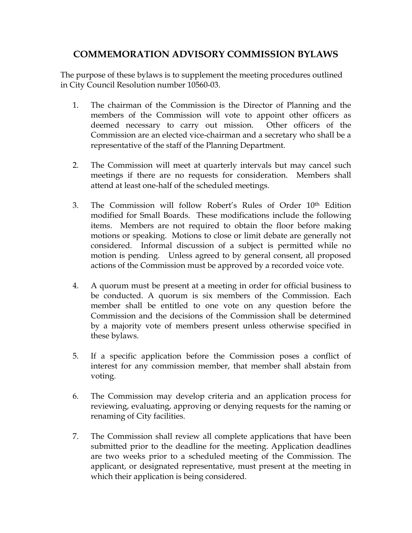## **COMMEMORATION ADVISORY COMMISSION BYLAWS**

The purpose of these bylaws is to supplement the meeting procedures outlined in City Council Resolution number 10560-03.

- 1. The chairman of the Commission is the Director of Planning and the members of the Commission will vote to appoint other officers as deemed necessary to carry out mission. Other officers of the Commission are an elected vice-chairman and a secretary who shall be a representative of the staff of the Planning Department.
- 2. The Commission will meet at quarterly intervals but may cancel such meetings if there are no requests for consideration. Members shall attend at least one-half of the scheduled meetings.
- 3. The Commission will follow Robert's Rules of Order 10th Edition modified for Small Boards. These modifications include the following items. Members are not required to obtain the floor before making motions or speaking. Motions to close or limit debate are generally not considered. Informal discussion of a subject is permitted while no motion is pending. Unless agreed to by general consent, all proposed actions of the Commission must be approved by a recorded voice vote.
- 4. A quorum must be present at a meeting in order for official business to be conducted. A quorum is six members of the Commission. Each member shall be entitled to one vote on any question before the Commission and the decisions of the Commission shall be determined by a majority vote of members present unless otherwise specified in these bylaws.
- 5. If a specific application before the Commission poses a conflict of interest for any commission member, that member shall abstain from voting.
- 6. The Commission may develop criteria and an application process for reviewing, evaluating, approving or denying requests for the naming or renaming of City facilities.
- 7. The Commission shall review all complete applications that have been submitted prior to the deadline for the meeting. Application deadlines are two weeks prior to a scheduled meeting of the Commission. The applicant, or designated representative, must present at the meeting in which their application is being considered.